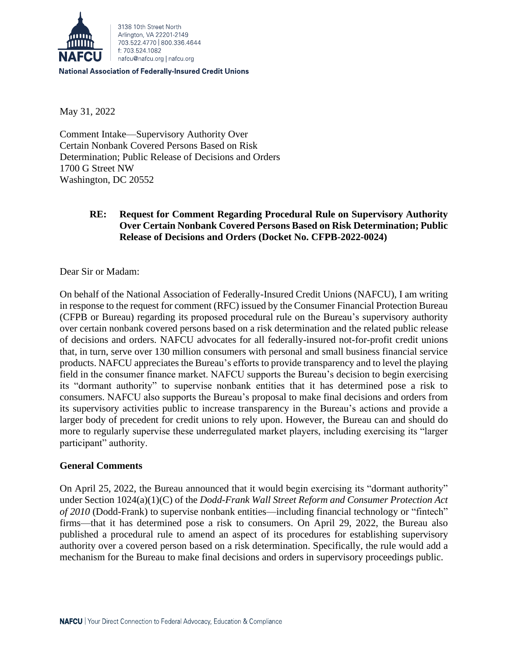

**National Association of Federally-Insured Credit Unions** 

May 31, 2022

Comment Intake—Supervisory Authority Over Certain Nonbank Covered Persons Based on Risk Determination; Public Release of Decisions and Orders 1700 G Street NW Washington, DC 20552

# **RE: Request for Comment Regarding Procedural Rule on Supervisory Authority Over Certain Nonbank Covered Persons Based on Risk Determination; Public Release of Decisions and Orders (Docket No. CFPB-2022-0024)**

Dear Sir or Madam:

On behalf of the National Association of Federally-Insured Credit Unions (NAFCU), I am writing in response to the request for comment (RFC) issued by the Consumer Financial Protection Bureau (CFPB or Bureau) regarding its proposed procedural rule on the Bureau's supervisory authority over certain nonbank covered persons based on a risk determination and the related public release of decisions and orders. NAFCU advocates for all federally-insured not-for-profit credit unions that, in turn, serve over 130 million consumers with personal and small business financial service products. NAFCU appreciates the Bureau's efforts to provide transparency and to level the playing field in the consumer finance market. NAFCU supports the Bureau's decision to begin exercising its "dormant authority" to supervise nonbank entities that it has determined pose a risk to consumers. NAFCU also supports the Bureau's proposal to make final decisions and orders from its supervisory activities public to increase transparency in the Bureau's actions and provide a larger body of precedent for credit unions to rely upon. However, the Bureau can and should do more to regularly supervise these underregulated market players, including exercising its "larger participant" authority.

## **General Comments**

On April 25, 2022, the Bureau announced that it would begin exercising its "dormant authority" under Section 1024(a)(1)(C) of the *Dodd-Frank Wall Street Reform and Consumer Protection Act of 2010* (Dodd-Frank) to supervise nonbank entities—including financial technology or "fintech" firms—that it has determined pose a risk to consumers. On April 29, 2022, the Bureau also published a procedural rule to amend an aspect of its procedures for establishing supervisory authority over a covered person based on a risk determination. Specifically, the rule would add a mechanism for the Bureau to make final decisions and orders in supervisory proceedings public.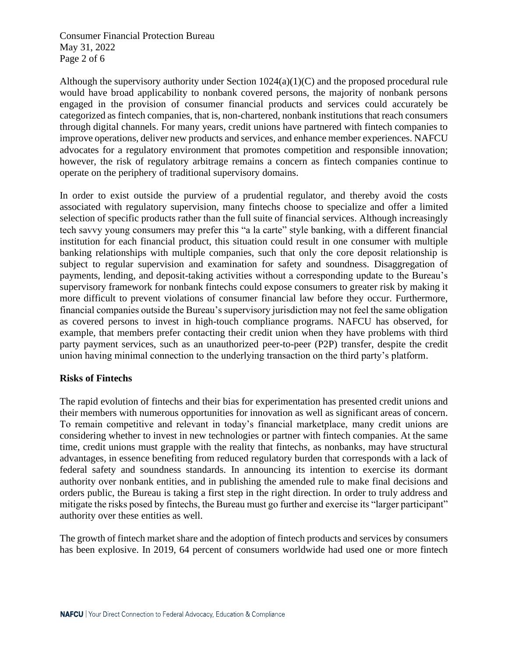Consumer Financial Protection Bureau May 31, 2022 Page 2 of 6

Although the supervisory authority under Section  $1024(a)(1)(C)$  and the proposed procedural rule would have broad applicability to nonbank covered persons, the majority of nonbank persons engaged in the provision of consumer financial products and services could accurately be categorized as fintech companies, that is, non-chartered, nonbank institutions that reach consumers through digital channels. For many years, credit unions have partnered with fintech companies to improve operations, deliver new products and services, and enhance member experiences. NAFCU advocates for a regulatory environment that promotes competition and responsible innovation; however, the risk of regulatory arbitrage remains a concern as fintech companies continue to operate on the periphery of traditional supervisory domains.

In order to exist outside the purview of a prudential regulator, and thereby avoid the costs associated with regulatory supervision, many fintechs choose to specialize and offer a limited selection of specific products rather than the full suite of financial services. Although increasingly tech savvy young consumers may prefer this "a la carte" style banking, with a different financial institution for each financial product, this situation could result in one consumer with multiple banking relationships with multiple companies, such that only the core deposit relationship is subject to regular supervision and examination for safety and soundness. Disaggregation of payments, lending, and deposit-taking activities without a corresponding update to the Bureau's supervisory framework for nonbank fintechs could expose consumers to greater risk by making it more difficult to prevent violations of consumer financial law before they occur. Furthermore, financial companies outside the Bureau's supervisory jurisdiction may not feel the same obligation as covered persons to invest in high-touch compliance programs. NAFCU has observed, for example, that members prefer contacting their credit union when they have problems with third party payment services, such as an unauthorized peer-to-peer (P2P) transfer, despite the credit union having minimal connection to the underlying transaction on the third party's platform.

# **Risks of Fintechs**

The rapid evolution of fintechs and their bias for experimentation has presented credit unions and their members with numerous opportunities for innovation as well as significant areas of concern. To remain competitive and relevant in today's financial marketplace, many credit unions are considering whether to invest in new technologies or partner with fintech companies. At the same time, credit unions must grapple with the reality that fintechs, as nonbanks, may have structural advantages, in essence benefiting from reduced regulatory burden that corresponds with a lack of federal safety and soundness standards. In announcing its intention to exercise its dormant authority over nonbank entities, and in publishing the amended rule to make final decisions and orders public, the Bureau is taking a first step in the right direction. In order to truly address and mitigate the risks posed by fintechs, the Bureau must go further and exercise its "larger participant" authority over these entities as well.

The growth of fintech market share and the adoption of fintech products and services by consumers has been explosive. In 2019, 64 percent of consumers worldwide had used one or more fintech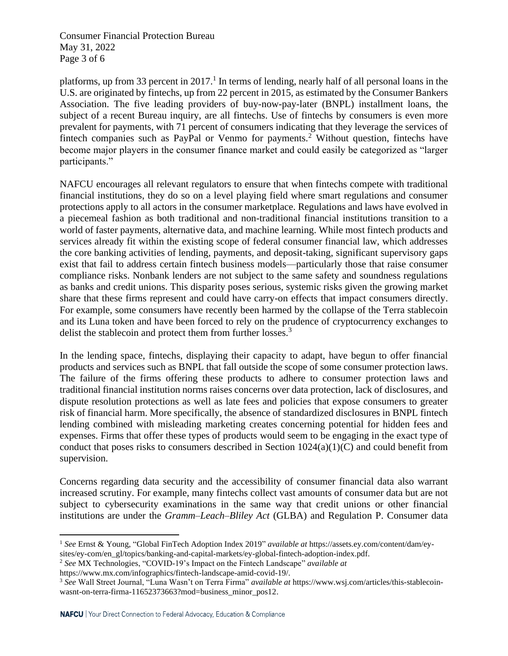Consumer Financial Protection Bureau May 31, 2022 Page 3 of 6

platforms, up from 33 percent in 2017.<sup>1</sup> In terms of lending, nearly half of all personal loans in the U.S. are originated by fintechs, up from 22 percent in 2015, as estimated by the Consumer Bankers Association. The five leading providers of buy-now-pay-later (BNPL) installment loans, the subject of a recent Bureau inquiry, are all fintechs. Use of fintechs by consumers is even more prevalent for payments, with 71 percent of consumers indicating that they leverage the services of fintech companies such as PayPal or Venmo for payments.<sup>2</sup> Without question, fintechs have become major players in the consumer finance market and could easily be categorized as "larger participants."

NAFCU encourages all relevant regulators to ensure that when fintechs compete with traditional financial institutions, they do so on a level playing field where smart regulations and consumer protections apply to all actors in the consumer marketplace. Regulations and laws have evolved in a piecemeal fashion as both traditional and non-traditional financial institutions transition to a world of faster payments, alternative data, and machine learning. While most fintech products and services already fit within the existing scope of federal consumer financial law, which addresses the core banking activities of lending, payments, and deposit-taking, significant supervisory gaps exist that fail to address certain fintech business models—particularly those that raise consumer compliance risks. Nonbank lenders are not subject to the same safety and soundness regulations as banks and credit unions. This disparity poses serious, systemic risks given the growing market share that these firms represent and could have carry-on effects that impact consumers directly. For example, some consumers have recently been harmed by the collapse of the Terra stablecoin and its Luna token and have been forced to rely on the prudence of cryptocurrency exchanges to delist the stablecoin and protect them from further losses.<sup>3</sup>

In the lending space, fintechs, displaying their capacity to adapt, have begun to offer financial products and services such as BNPL that fall outside the scope of some consumer protection laws. The failure of the firms offering these products to adhere to consumer protection laws and traditional financial institution norms raises concerns over data protection, lack of disclosures, and dispute resolution protections as well as late fees and policies that expose consumers to greater risk of financial harm. More specifically, the absence of standardized disclosures in BNPL fintech lending combined with misleading marketing creates concerning potential for hidden fees and expenses. Firms that offer these types of products would seem to be engaging in the exact type of conduct that poses risks to consumers described in Section 1024(a)(1)(C) and could benefit from supervision.

Concerns regarding data security and the accessibility of consumer financial data also warrant increased scrutiny. For example, many fintechs collect vast amounts of consumer data but are not subject to cybersecurity examinations in the same way that credit unions or other financial institutions are under the *Gramm–Leach–Bliley Act* (GLBA) and Regulation P. Consumer data

<sup>2</sup> *See* MX Technologies, "COVID-19's Impact on the Fintech Landscape" *available at* 

<sup>1</sup> *See* Ernst & Young, "Global FinTech Adoption Index 2019" *available at* https://assets.ey.com/content/dam/eysites/ey-com/en\_gl/topics/banking-and-capital-markets/ey-global-fintech-adoption-index.pdf.

https://www.mx.com/infographics/fintech-landscape-amid-covid-19/.

<sup>3</sup> *See* Wall Street Journal, "Luna Wasn't on Terra Firma" *available at* https://www.wsj.com/articles/this-stablecoinwasnt-on-terra-firma-11652373663?mod=business\_minor\_pos12.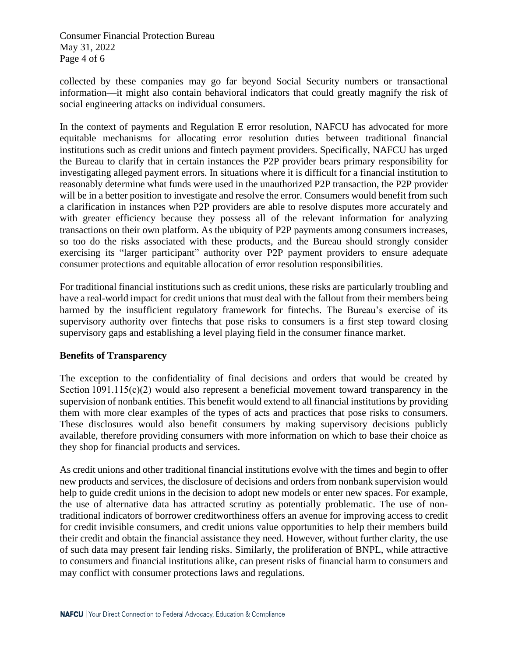Consumer Financial Protection Bureau May 31, 2022 Page 4 of 6

collected by these companies may go far beyond Social Security numbers or transactional information—it might also contain behavioral indicators that could greatly magnify the risk of social engineering attacks on individual consumers.

In the context of payments and Regulation E error resolution, NAFCU has advocated for more equitable mechanisms for allocating error resolution duties between traditional financial institutions such as credit unions and fintech payment providers. Specifically, NAFCU has urged the Bureau to clarify that in certain instances the P2P provider bears primary responsibility for investigating alleged payment errors. In situations where it is difficult for a financial institution to reasonably determine what funds were used in the unauthorized P2P transaction, the P2P provider will be in a better position to investigate and resolve the error. Consumers would benefit from such a clarification in instances when P2P providers are able to resolve disputes more accurately and with greater efficiency because they possess all of the relevant information for analyzing transactions on their own platform. As the ubiquity of P2P payments among consumers increases, so too do the risks associated with these products, and the Bureau should strongly consider exercising its "larger participant" authority over P2P payment providers to ensure adequate consumer protections and equitable allocation of error resolution responsibilities.

For traditional financial institutions such as credit unions, these risks are particularly troubling and have a real-world impact for credit unions that must deal with the fallout from their members being harmed by the insufficient regulatory framework for fintechs. The Bureau's exercise of its supervisory authority over fintechs that pose risks to consumers is a first step toward closing supervisory gaps and establishing a level playing field in the consumer finance market.

# **Benefits of Transparency**

The exception to the confidentiality of final decisions and orders that would be created by Section 1091.115(c)(2) would also represent a beneficial movement toward transparency in the supervision of nonbank entities. This benefit would extend to all financial institutions by providing them with more clear examples of the types of acts and practices that pose risks to consumers. These disclosures would also benefit consumers by making supervisory decisions publicly available, therefore providing consumers with more information on which to base their choice as they shop for financial products and services.

As credit unions and other traditional financial institutions evolve with the times and begin to offer new products and services, the disclosure of decisions and orders from nonbank supervision would help to guide credit unions in the decision to adopt new models or enter new spaces. For example, the use of alternative data has attracted scrutiny as potentially problematic. The use of nontraditional indicators of borrower creditworthiness offers an avenue for improving access to credit for credit invisible consumers, and credit unions value opportunities to help their members build their credit and obtain the financial assistance they need. However, without further clarity, the use of such data may present fair lending risks. Similarly, the proliferation of BNPL, while attractive to consumers and financial institutions alike, can present risks of financial harm to consumers and may conflict with consumer protections laws and regulations.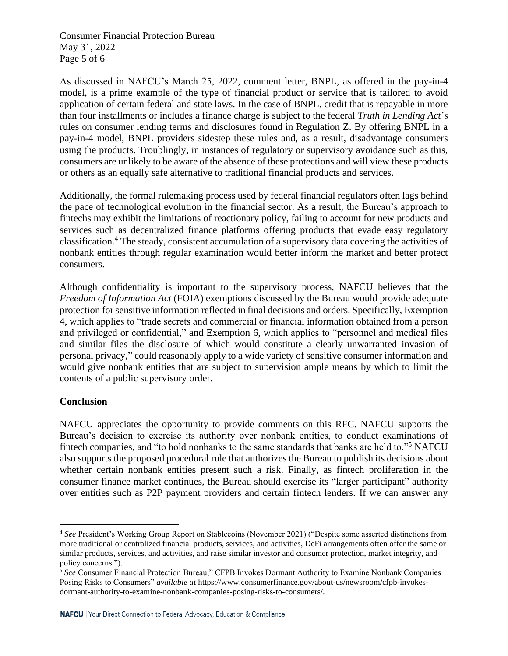Consumer Financial Protection Bureau May 31, 2022 Page 5 of 6

As discussed in NAFCU's March 25, 2022, comment letter, BNPL, as offered in the pay-in-4 model, is a prime example of the type of financial product or service that is tailored to avoid application of certain federal and state laws. In the case of BNPL, credit that is repayable in more than four installments or includes a finance charge is subject to the federal *Truth in Lending Act*'s rules on consumer lending terms and disclosures found in Regulation Z. By offering BNPL in a pay-in-4 model, BNPL providers sidestep these rules and, as a result, disadvantage consumers using the products. Troublingly, in instances of regulatory or supervisory avoidance such as this, consumers are unlikely to be aware of the absence of these protections and will view these products or others as an equally safe alternative to traditional financial products and services.

Additionally, the formal rulemaking process used by federal financial regulators often lags behind the pace of technological evolution in the financial sector. As a result, the Bureau's approach to fintechs may exhibit the limitations of reactionary policy, failing to account for new products and services such as decentralized finance platforms offering products that evade easy regulatory classification. <sup>4</sup> The steady, consistent accumulation of a supervisory data covering the activities of nonbank entities through regular examination would better inform the market and better protect consumers.

Although confidentiality is important to the supervisory process, NAFCU believes that the *Freedom of Information Act* (FOIA) exemptions discussed by the Bureau would provide adequate protection for sensitive information reflected in final decisions and orders. Specifically, Exemption 4, which applies to "trade secrets and commercial or financial information obtained from a person and privileged or confidential," and Exemption 6, which applies to "personnel and medical files and similar files the disclosure of which would constitute a clearly unwarranted invasion of personal privacy," could reasonably apply to a wide variety of sensitive consumer information and would give nonbank entities that are subject to supervision ample means by which to limit the contents of a public supervisory order.

# **Conclusion**

NAFCU appreciates the opportunity to provide comments on this RFC. NAFCU supports the Bureau's decision to exercise its authority over nonbank entities, to conduct examinations of fintech companies, and "to hold nonbanks to the same standards that banks are held to."<sup>5</sup> NAFCU also supports the proposed procedural rule that authorizes the Bureau to publish its decisions about whether certain nonbank entities present such a risk. Finally, as fintech proliferation in the consumer finance market continues, the Bureau should exercise its "larger participant" authority over entities such as P2P payment providers and certain fintech lenders. If we can answer any

<sup>4</sup> *See* President's Working Group Report on Stablecoins (November 2021) ("Despite some asserted distinctions from more traditional or centralized financial products, services, and activities, DeFi arrangements often offer the same or similar products, services, and activities, and raise similar investor and consumer protection, market integrity, and policy concerns.").

<sup>&</sup>lt;sup>5</sup> See Consumer Financial Protection Bureau," CFPB Invokes Dormant Authority to Examine Nonbank Companies Posing Risks to Consumers" *available at* https://www.consumerfinance.gov/about-us/newsroom/cfpb-invokesdormant-authority-to-examine-nonbank-companies-posing-risks-to-consumers/.